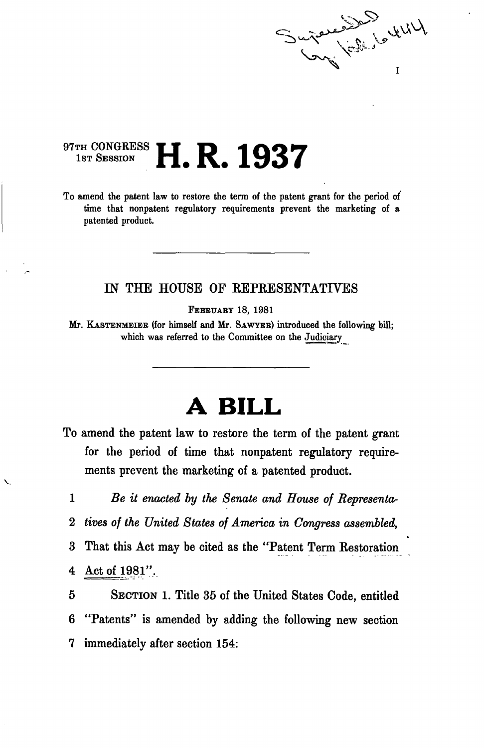**Property**  $\int_{\mathbb{R}^3}$   $\int_{\mathbb{R}^3}$ T

## 97TH CONGRESS **H. R. 1937**

To amend the patent law to restore the term of the patent grant for the period of time that nonpatent regulatory requirements prevent the marketing of a patented product.

## IN THE HOUSE OF KEPKESENTATIVES

FEBBUABY 18, 1981

Mr. KASTENMEIEB (for himself and Mr. SAWYEB) introduced the following bill; which was referred to the Committee on the Judiciary

## **A BILL**

To amend the patent law to restore the term of the patent grant for the period of time that nonpatent regulatory requirements prevent the marketing of a patented product.

1 *Be it enacted by the Senate and House of Representa-*2 *tives of the United States of America in Congress assembled,*  3 That this Act may be cited as the "Patent Term Kestoration 4 Act of 1981".

5 SECTION 1. Title 35 of the United States Code, entitled 6 "Patents" is amended by adding the following new section 7 immediately after section 154: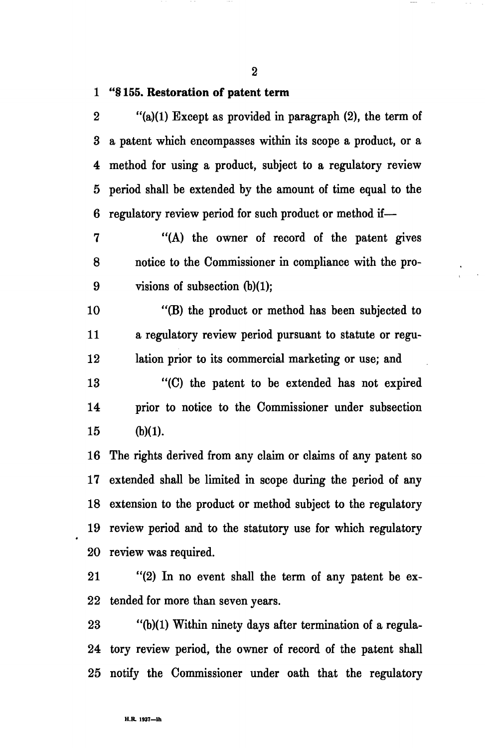**2** 

## **1 "§ 155. Restoration of patent term**

2 "(a)(1) Except as provided in paragraph (2), the term of 3 a patent which encompasses within its scope a product, or a 4 method for using a product, subject to a regulatory review 5 period shall be extended by the amount of time equal to the 6 regulatory review period for such product or method if—

7 "(A) the owner of record of the patent gives 8 notice to the Commissioner in compliance with the pro-9 visions of subsection (b)(1);

10 "(B) the product or method has been subjected to 11 a regulatory review period pursuant to statute or regu-12 lation prior to its commercial marketing or use; and

13 "(C) the patent to be extended has not expired 14 prior to notice to the Commissioner under subsection 15 (b)(1).

16 The rights derived from any claim or claims of any patent so 17 extended shall be limited in scope during the period of any 18 extension to the product or method subject to the regulatory 19 review period and to the statutory use for which regulatory 20 review was required.

21 "(2) In no event shall the term of any patent be ex-22 tended for more than seven years.

23 "(b)(1) Within ninety days after termination of a regula-24 tory review period, the owner of record of the patent shall 25 notify the Commissioner under oath that the regulatory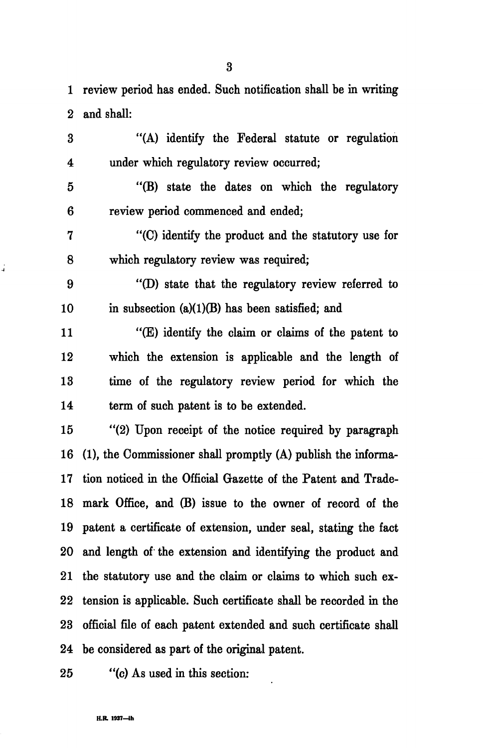1 review period has ended. Such notification shall be in writing 2 and shall:

3 "(A) identify the Federal statute or regulation 4 under which regulatory review occurred;

5 "(B) state the dates on which the regulatory 6 review period commenced and ended;

7 "(C) identify the product and the statutory use for 8 which regulatory review was required;

9 "(D) state that the regulatory review referred to 10 in subsection  $(a)(1)(B)$  has been satisfied; and

11 "(E) identify the claim or claims of the patent to 12 which the extension is applicable and the length of 13 time of the regulatory review period for which the 14 term of such patent is to be extended.

15 "(2) Upon receipt of the notice required by paragraph 16 (1), the Commissioner shall promptly (A) publish the informa-17 tion noticed in the Official Gazette of the Patent and Trade-18 mark Office, and (B) issue to the owner of record of the 19 patent a certificate of extension, under seal, stating the fact 20 and length of the extension and identifying the product and 21 the statutory use and the claim or claims to which such ex-22 tension is applicable. Such certificate shall be recorded in the 23 official file of each patent extended and such certificate shall 24 be considered as part of the original patent.

á,

25 "(c) As used in this section: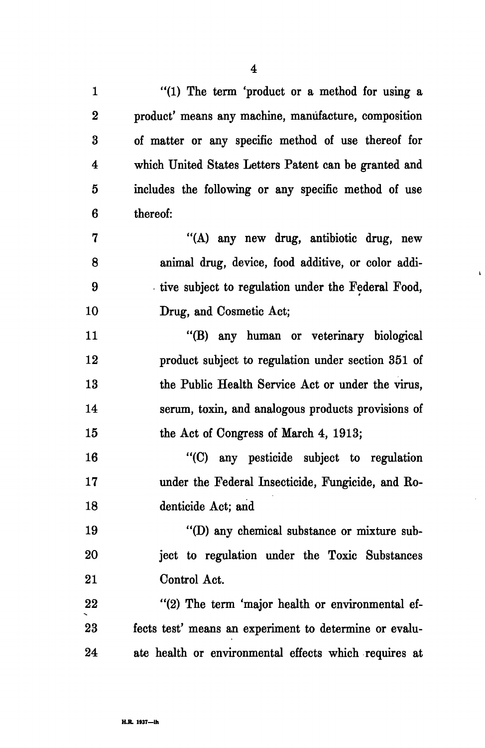1 "(1) The term 'product or a method for using a 2 product' means any machine, manufacture, composition 3 of matter or any specific method of use thereof for 4 which United States Letters Patent can be granted and 5 includes the following or any specific method of use 6 thereof: 7 "(A) any new drug, antibiotic drug, new 8 animal drug, device, food additive, or color addi-9 tive subject to regulation under the Federal Food, 10 Drug, and Cosmetic Act; 11 "(B) any human or veterinary biological 12 product subject to regulation under section 351 of 13 the Public Health Service Act or under the virus, 14 serum, toxin, and analogous products provisions of 15 the Act of Congress of March 4, 1913; 16 "(C) any pesticide subject to regulation 17 under the Federal Insecticide, Fungicide, and Ro-18 denticide Act; and 19 "(D) any chemical substance or mixture sub-20 ject to regulation under the Toxic Substances 21 Control Act. 22 "(2) The term 'major health or environmental ef-23 fects test' means an experiment to determine or evalu-24 ate health or environmental effects which requires at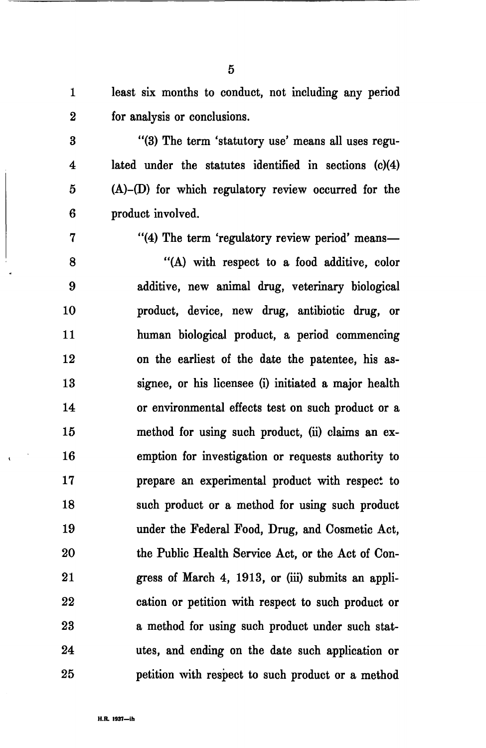1 least six months to conduct, not including any period 2 for analysis or conclusions.

- 3 "(3) The term 'statutory use' means all uses regu-4 lated under the statutes identified in sections (c)(4) 5 (A)-(D) for which regulatory review occurred for the 6 product involved.
- 

7 "(4) The term 'regulatory review period' means—

8 "(A) with respect to a food additive, color 9 additive, new animal drug, veterinary biological 10 product, device, new drug, antibiotic drug, or 11 human biological product, a period commencing 12 on the earliest of the date the patentee, his as-13 signee, or his licensee (i) initiated a major health 14 or environmental effects test on such product or a 15 method for using such product, (ii) claims an ex-16 emption for investigation or requests authority to 17 prepare an experimental product with respect to 18 such product or a method for using such product 19 under the Federal Food, Drug, and Cosmetic Act, 20 the Public Health Service Act, or the Act of Con-21 gress of March 4, 1913, or (iii) submits an appli-22 cation or petition with respect to such product or 23 a method for using such product under such stat-24 utes, and ending on the date such application or 25 petition with respect to such product or a method

5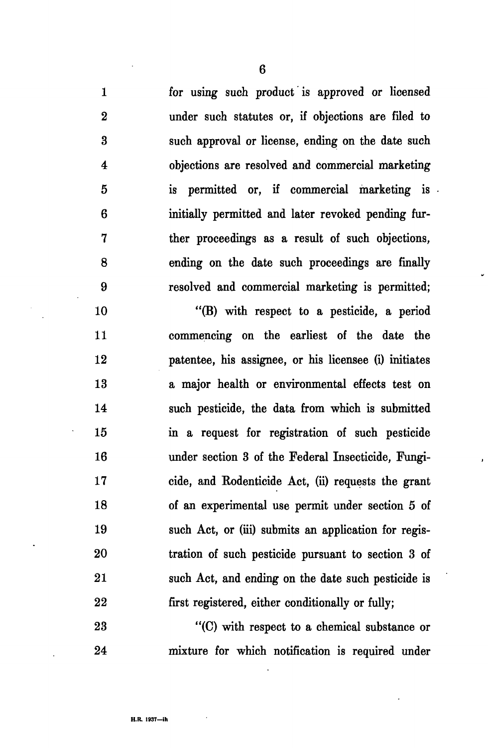1 for using such product is approved or licensed 2 under such statutes or, if objections are filed to 3 such approval or license, ending on the date such 4 objections are resolved and commercial marketing 5 is permitted or, if commercial marketing is 6 initially permitted and later revoked pending fur-7 ther proceedings as a result of such objections, 8 ending on the date such proceedings are finally 9 resolved and commercial marketing is permitted;

10 "(B) with respect to a pesticide, a period 11 commencing on the earliest of the date the 12 patentee, his assignee, or his licensee (i) initiates 13 a major health or environmental effects test on 14 such pesticide, the data from which is submitted 15 in a request for registration of such pesticide 16 under section 3 of the Federal Insecticide, Fungi-17 cide, and Eodenticide Act, (ii) requests the grant 18 of an experimental use permit under section 5 of 19 such Act, or (iii) submits an application for regis-20 tration of such pesticide pursuant to section 3 of 21 such Act, and ending on the date such pesticide is 22 first registered, either conditionally or fully;

23 "(C) with respect to a chemical substance or 24 mixture for which notification is required under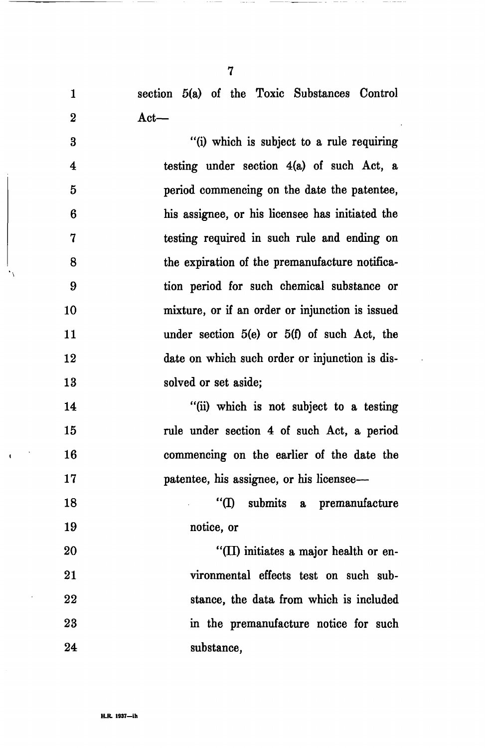1 section 5(a) of the Toxic Substances Control 2 Act—

3 "(i) which is subject to a rule requiring 4 testing under section 4(a) of such Act, a 5 period commencing on the date the patentee, 6 his assignee, or his licensee has initiated the 7 testing required in such rule and ending on 8 the expiration of the premanufacture notifica-9 tion period for such chemical substance or 10 mixture, or if an order or injunction is issued 11 under section 5(e) or 5(f) of such Act, the 12 date on which such order or injunction is dis-13 solved or set aside;

14 "(ii) which is not subject to a testing 15 rule under section 4 of such Act, a period 16 commencing on the earlier of the date the 17 **patentee**, his assignee, or his licensee—

18 "(I) submits a premanufacture 19 notice, or

20 "(II) initiates a major health or en-21 vironmental effects test on such sub-22 stance, the data from which is included 23 in the premanufacture notice for such 24 substance,

7